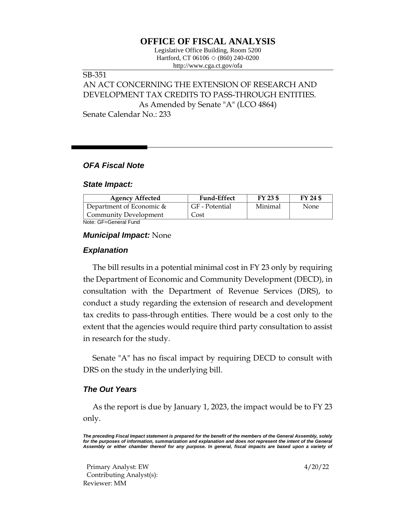# **OFFICE OF FISCAL ANALYSIS**

Legislative Office Building, Room 5200 Hartford, CT 06106  $\Diamond$  (860) 240-0200 http://www.cga.ct.gov/ofa

# SB-351 AN ACT CONCERNING THE EXTENSION OF RESEARCH AND DEVELOPMENT TAX CREDITS TO PASS-THROUGH ENTITIES. As Amended by Senate "A" (LCO 4864) Senate Calendar No.: 233

## *OFA Fiscal Note*

#### *State Impact:*

| <b>Agency Affected</b>                                                               | <b>Fund-Effect</b> | FY 23 \$ | FY 24 \$ |
|--------------------------------------------------------------------------------------|--------------------|----------|----------|
| Department of Economic $\&$                                                          | GF - Potential     | Minimal  | None     |
| Community Development                                                                | Cost               |          |          |
| Mata, $\bigcap_{n=1}^{\infty}$ $\bigcap_{n=1}^{\infty}$ and $\bigcap_{n=1}^{\infty}$ |                    |          |          |

Note: GF=General Fund

### *Municipal Impact:* None

### *Explanation*

The bill results in a potential minimal cost in FY 23 only by requiring the Department of Economic and Community Development (DECD), in consultation with the Department of Revenue Services (DRS), to conduct a study regarding the extension of research and development tax credits to pass-through entities. There would be a cost only to the extent that the agencies would require third party consultation to assist in research for the study.

Senate "A" has no fiscal impact by requiring DECD to consult with DRS on the study in the underlying bill.

## *The Out Years*

As the report is due by January 1, 2023, the impact would be to FY 23 only.

*The preceding Fiscal Impact statement is prepared for the benefit of the members of the General Assembly, solely*  for the purposes of information, summarization and explanation and does not represent the intent of the General *Assembly or either chamber thereof for any purpose. In general, fiscal impacts are based upon a variety of* 

Primary Analyst: EW 4/20/22 Contributing Analyst(s): Reviewer: MM